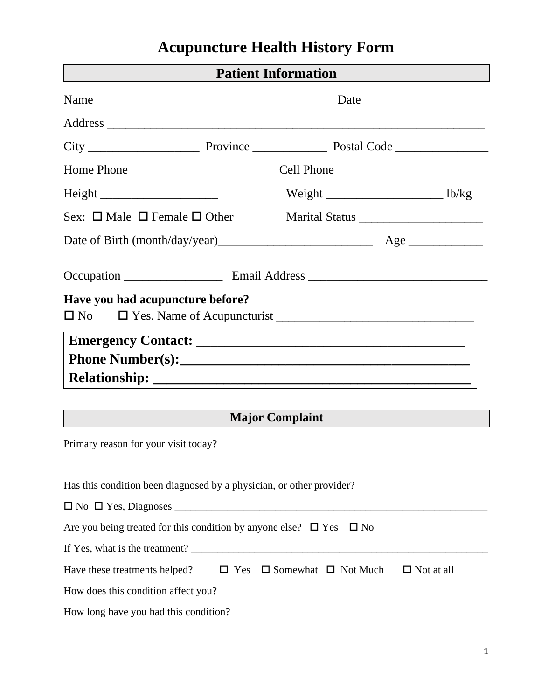## **Acupuncture Health History Form**

| <b>Patient Information</b><br><u> 1989 - Johann Stoff, deutscher Stoffen und der Stoffen und der Stoffen und der Stoffen und der Stoffen und der</u><br>and the control of the control of the control of the control of the control of |                        |  |  |
|----------------------------------------------------------------------------------------------------------------------------------------------------------------------------------------------------------------------------------------|------------------------|--|--|
|                                                                                                                                                                                                                                        |                        |  |  |
|                                                                                                                                                                                                                                        |                        |  |  |
|                                                                                                                                                                                                                                        |                        |  |  |
|                                                                                                                                                                                                                                        |                        |  |  |
|                                                                                                                                                                                                                                        |                        |  |  |
| Sex: $\Box$ Male $\Box$ Female $\Box$ Other                                                                                                                                                                                            |                        |  |  |
|                                                                                                                                                                                                                                        |                        |  |  |
|                                                                                                                                                                                                                                        |                        |  |  |
| Have you had acupuncture before?<br>$\Box$ No                                                                                                                                                                                          |                        |  |  |
|                                                                                                                                                                                                                                        |                        |  |  |
|                                                                                                                                                                                                                                        |                        |  |  |
|                                                                                                                                                                                                                                        |                        |  |  |
|                                                                                                                                                                                                                                        | <b>Major Complaint</b> |  |  |
|                                                                                                                                                                                                                                        |                        |  |  |
| Has this condition been diagnosed by a physician, or other provider?                                                                                                                                                                   |                        |  |  |
|                                                                                                                                                                                                                                        |                        |  |  |
| Are you being treated for this condition by anyone else? $\Box$ Yes $\Box$ No                                                                                                                                                          |                        |  |  |
|                                                                                                                                                                                                                                        |                        |  |  |
| Have these treatments helped? $\square$ Yes $\square$ Somewhat $\square$ Not Much                                                                                                                                                      | $\Box$ Not at all      |  |  |
| How does this condition affect you?                                                                                                                                                                                                    |                        |  |  |
|                                                                                                                                                                                                                                        |                        |  |  |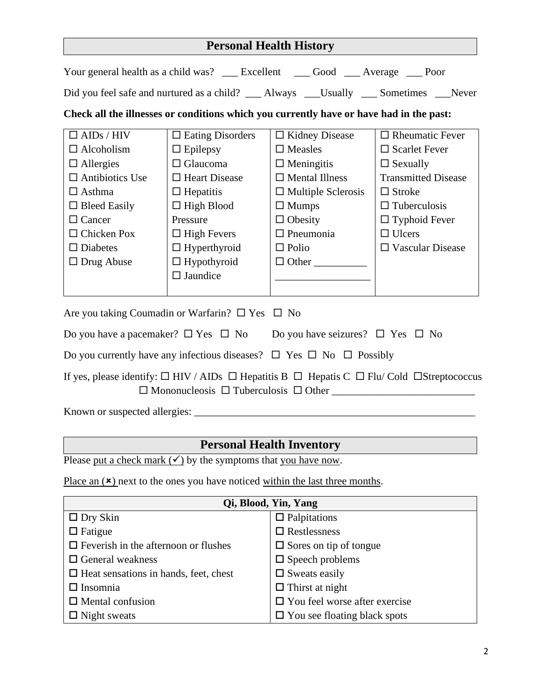| <b>Personal Health History</b>                                                                                                                                                                                 |                                                                                                                                                                                                               |                                                                                                                                                                                             |                                                                                                                                                                                                                |  |  |
|----------------------------------------------------------------------------------------------------------------------------------------------------------------------------------------------------------------|---------------------------------------------------------------------------------------------------------------------------------------------------------------------------------------------------------------|---------------------------------------------------------------------------------------------------------------------------------------------------------------------------------------------|----------------------------------------------------------------------------------------------------------------------------------------------------------------------------------------------------------------|--|--|
|                                                                                                                                                                                                                |                                                                                                                                                                                                               | Your general health as a child was? __ Excellent __ Good __ Average __ Poor                                                                                                                 |                                                                                                                                                                                                                |  |  |
|                                                                                                                                                                                                                |                                                                                                                                                                                                               | Did you feel safe and nurtured as a child? __ Always __Usually __ Sometimes __Never                                                                                                         |                                                                                                                                                                                                                |  |  |
| Check all the illnesses or conditions which you currently have or have had in the past:                                                                                                                        |                                                                                                                                                                                                               |                                                                                                                                                                                             |                                                                                                                                                                                                                |  |  |
| $\Box$ AIDs / HIV<br>$\Box$ Alcoholism<br>$\Box$ Allergies<br>$\Box$ Antibiotics Use<br>$\Box$ Asthma<br>$\Box$ Bleed Easily<br>$\Box$ Cancer<br>$\Box$ Chicken Pox<br>$\square$ Diabetes<br>$\Box$ Drug Abuse | $\Box$ Eating Disorders<br>$\Box$ Epilepsy<br>$\Box$ Glaucoma<br>$\Box$ Heart Disease<br>$\Box$ Hepatitis<br>$\Box$ High Blood<br>Pressure<br>$\Box$ High Fevers<br>$\Box$ Hyperthyroid<br>$\Box$ Hypothyroid | $\Box$ Kidney Disease<br>$\square$ Measles<br>$\Box$ Meningitis<br>$\Box$ Mental Illness<br>$\Box$ Multiple Sclerosis<br>$\Box$ Mumps<br>$\Box$ Obesity<br>$\Box$ Pneumonia<br>$\Box$ Polio | $\Box$ Rheumatic Fever<br>$\square$ Scarlet Fever<br>$\Box$ Sexually<br><b>Transmitted Disease</b><br>$\Box$ Stroke<br>$\Box$ Tuberculosis<br>$\Box$ Typhoid Fever<br>$\Box$ Ulcers<br>$\Box$ Vascular Disease |  |  |
|                                                                                                                                                                                                                | $\square$ Jaundice                                                                                                                                                                                            |                                                                                                                                                                                             |                                                                                                                                                                                                                |  |  |
| Are you taking Coumadin or Warfarin? $\square$ Yes $\square$ No                                                                                                                                                |                                                                                                                                                                                                               |                                                                                                                                                                                             |                                                                                                                                                                                                                |  |  |
| Do you have a pacemaker? $\Box$ Yes $\Box$ No Do you have seizures? $\Box$ Yes $\Box$ No                                                                                                                       |                                                                                                                                                                                                               |                                                                                                                                                                                             |                                                                                                                                                                                                                |  |  |
| Do you currently have any infectious diseases? $\Box$ Yes $\Box$ No $\Box$ Possibly                                                                                                                            |                                                                                                                                                                                                               |                                                                                                                                                                                             |                                                                                                                                                                                                                |  |  |
| If yes, please identify: $\Box$ HIV / AIDs $\Box$ Hepatitis B $\Box$ Hepatis C $\Box$ Flu/ Cold $\Box$ Streptococcus                                                                                           |                                                                                                                                                                                                               |                                                                                                                                                                                             |                                                                                                                                                                                                                |  |  |
|                                                                                                                                                                                                                |                                                                                                                                                                                                               |                                                                                                                                                                                             |                                                                                                                                                                                                                |  |  |
|                                                                                                                                                                                                                |                                                                                                                                                                                                               | <b>Personal Health Inventory</b>                                                                                                                                                            |                                                                                                                                                                                                                |  |  |

Please put a check mark  $(\checkmark)$  by the symptoms that you have now.

Place an  $(\times)$  next to the ones you have noticed within the last three months.

| Qi, Blood, Yin, Yang                         |                                      |  |  |  |
|----------------------------------------------|--------------------------------------|--|--|--|
| $\Box$ Dry Skin                              | $\Box$ Palpitations                  |  |  |  |
| $\Box$ Fatigue                               | $\Box$ Restlessness                  |  |  |  |
| $\Box$ Feverish in the afternoon or flushes  | $\Box$ Sores on tip of tongue        |  |  |  |
| $\Box$ General weakness                      | $\square$ Speech problems            |  |  |  |
| $\Box$ Heat sensations in hands, feet, chest | $\Box$ Sweats easily                 |  |  |  |
| $\Box$ Insomnia                              | $\Box$ Thirst at night               |  |  |  |
| $\Box$ Mental confusion                      | $\Box$ You feel worse after exercise |  |  |  |
| $\Box$ Night sweats                          | $\Box$ You see floating black spots  |  |  |  |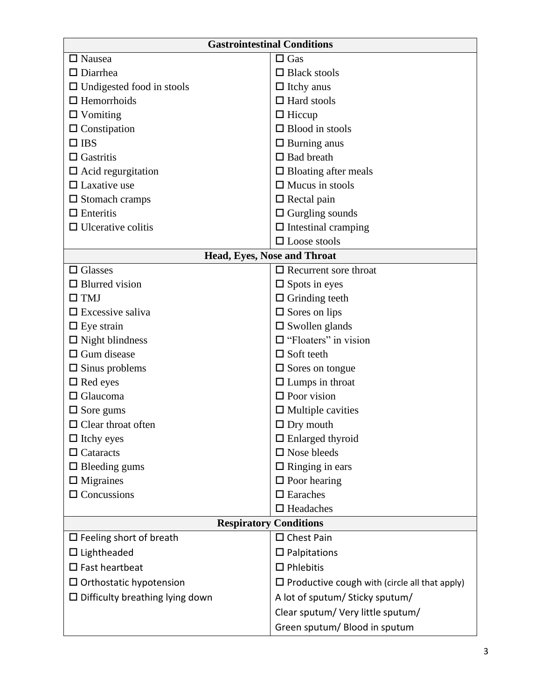| <b>Gastrointestinal Conditions</b>        |                                                      |  |  |
|-------------------------------------------|------------------------------------------------------|--|--|
| $\Box$ Nausea                             | $\Box$ Gas                                           |  |  |
| $\Box$ Diarrhea                           | $\Box$ Black stools                                  |  |  |
| $\Box$ Undigested food in stools          | $\Box$ Itchy anus                                    |  |  |
| $\Box$ Hemorrhoids                        | $\Box$ Hard stools                                   |  |  |
| $\Box$ Vomiting                           | $\Box$ Hiccup                                        |  |  |
| $\Box$ Constipation                       | $\Box$ Blood in stools                               |  |  |
| $\Box$ IBS                                | $\Box$ Burning anus                                  |  |  |
| $\Box$ Gastritis                          | $\Box$ Bad breath                                    |  |  |
| $\square$ Acid regurgitation              | $\Box$ Bloating after meals                          |  |  |
| $\Box$ Laxative use                       | $\Box$ Mucus in stools                               |  |  |
| $\square$ Stomach cramps                  | $\Box$ Rectal pain                                   |  |  |
| $\Box$ Enteritis                          | $\Box$ Gurgling sounds                               |  |  |
| $\Box$ Ulcerative colitis                 | $\Box$ Intestinal cramping                           |  |  |
|                                           | $\Box$ Loose stools                                  |  |  |
|                                           | Head, Eyes, Nose and Throat                          |  |  |
| $\Box$ Glasses                            | $\Box$ Recurrent sore throat                         |  |  |
| $\Box$ Blurred vision                     | $\Box$ Spots in eyes                                 |  |  |
| $\square$ TMJ                             | $\Box$ Grinding teeth                                |  |  |
| $\Box$ Excessive saliva                   | $\square$ Sores on lips                              |  |  |
| $\Box$ Eye strain                         | $\square$ Swollen glands                             |  |  |
| $\Box$ Night blindness                    | $\Box$ "Floaters" in vision                          |  |  |
| $\Box$ Gum disease                        | $\Box$ Soft teeth                                    |  |  |
| $\square$ Sinus problems                  | $\square$ Sores on tongue                            |  |  |
| $\Box$ Red eyes                           | $\Box$ Lumps in throat                               |  |  |
| $\Box$ Glaucoma                           | $\Box$ Poor vision                                   |  |  |
| $\square$ Sore gums                       | $\Box$ Multiple cavities                             |  |  |
| $\Box$ Clear throat often                 | $\Box$ Dry mouth                                     |  |  |
| $\Box$ Itchy eyes                         | $\Box$ Enlarged thyroid                              |  |  |
| $\Box$ Cataracts                          | $\square$ Nose bleeds                                |  |  |
| $\hfill \square$<br>Bleeding gums         | $\Box$ Ringing in ears                               |  |  |
| $\Box$ Migraines                          | $\square$ Poor hearing                               |  |  |
| $\Box$ Concussions                        | $\square$ Earaches                                   |  |  |
|                                           | $\Box$ Headaches                                     |  |  |
|                                           | <b>Respiratory Conditions</b>                        |  |  |
| $\Box$ Feeling short of breath            | $\Box$ Chest Pain                                    |  |  |
| $\Box$ Lightheaded                        | $\square$ Palpitations                               |  |  |
| $\square$ Fast heartbeat                  | $\Box$ Phlebitis                                     |  |  |
| $\Box$ Orthostatic hypotension            | $\Box$ Productive cough with (circle all that apply) |  |  |
| $\square$ Difficulty breathing lying down | A lot of sputum/ Sticky sputum/                      |  |  |
|                                           | Clear sputum/ Very little sputum/                    |  |  |
|                                           | Green sputum/ Blood in sputum                        |  |  |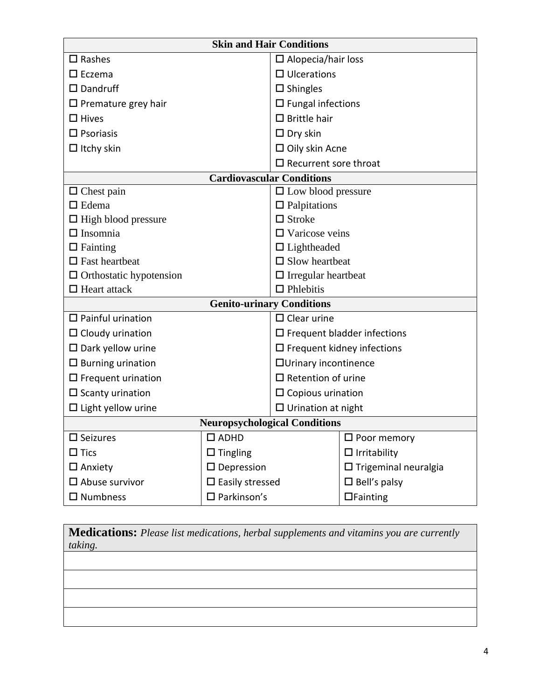| <b>Skin and Hair Conditions</b>      |                           |                                     |                                    |  |
|--------------------------------------|---------------------------|-------------------------------------|------------------------------------|--|
| $\square$ Rashes                     |                           | $\Box$ Alopecia/hair loss           |                                    |  |
| $\square$ Eczema                     |                           | $\Box$ Ulcerations                  |                                    |  |
| $\square$ Dandruff                   |                           | $\square$ Shingles                  |                                    |  |
| $\Box$ Premature grey hair           |                           | $\Box$ Fungal infections            |                                    |  |
| $\Box$ Hives                         |                           | $\Box$ Brittle hair                 |                                    |  |
| $\square$ Psoriasis                  |                           | $\Box$ Dry skin                     |                                    |  |
| $\Box$ Itchy skin                    |                           | $\Box$ Oily skin Acne               |                                    |  |
|                                      |                           | $\Box$ Recurrent sore throat        |                                    |  |
|                                      |                           | <b>Cardiovascular Conditions</b>    |                                    |  |
| $\Box$ Chest pain                    |                           | $\Box$ Low blood pressure           |                                    |  |
| $\Box$ Edema                         |                           | $\Box$ Palpitations                 |                                    |  |
| $\Box$ High blood pressure           |                           | $\Box$ Stroke                       |                                    |  |
| $\Box$ Insomnia                      |                           | $\Box$ Varicose veins               |                                    |  |
| $\Box$ Fainting                      |                           | $\Box$ Lightheaded                  |                                    |  |
| $\Box$ Fast heartbeat                |                           | $\Box$ Slow heartbeat               |                                    |  |
| $\Box$ Orthostatic hypotension       |                           | $\hfill\Box$<br>Irregular heartbeat |                                    |  |
| $\Box$ Heart attack                  |                           | $\Box$ Phlebitis                    |                                    |  |
|                                      |                           | <b>Genito-urinary Conditions</b>    |                                    |  |
| $\Box$ Painful urination             |                           | $\Box$ Clear urine                  |                                    |  |
| $\Box$ Cloudy urination              |                           |                                     | $\Box$ Frequent bladder infections |  |
| $\square$ Dark yellow urine          |                           |                                     | $\Box$ Frequent kidney infections  |  |
| $\square$ Burning urination          |                           | □ Urinary incontinence              |                                    |  |
| $\Box$ Frequent urination            |                           | $\Box$ Retention of urine           |                                    |  |
| $\Box$ Scanty urination              |                           | $\square$ Copious urination         |                                    |  |
| $\Box$ Light yellow urine            |                           | $\Box$ Urination at night           |                                    |  |
| <b>Neuropsychological Conditions</b> |                           |                                     |                                    |  |
| $\square$ Seizures                   | $\square$ ADHD            |                                     | $\square$ Poor memory              |  |
| $\Box$ Tics                          | $\Box$ Tingling           |                                     | $\Box$ Irritability                |  |
| $\square$ Anxiety                    | $\square$ Depression      |                                     | $\Box$ Trigeminal neuralgia        |  |
| $\square$ Abuse survivor             | $\square$ Easily stressed |                                     | $\square$ Bell's palsy             |  |
| $\square$ Numbness                   | $\square$ Parkinson's     |                                     | $\Box$ Fainting                    |  |

**Medications:** *Please list medications, herbal supplements and vitamins you are currently taking.*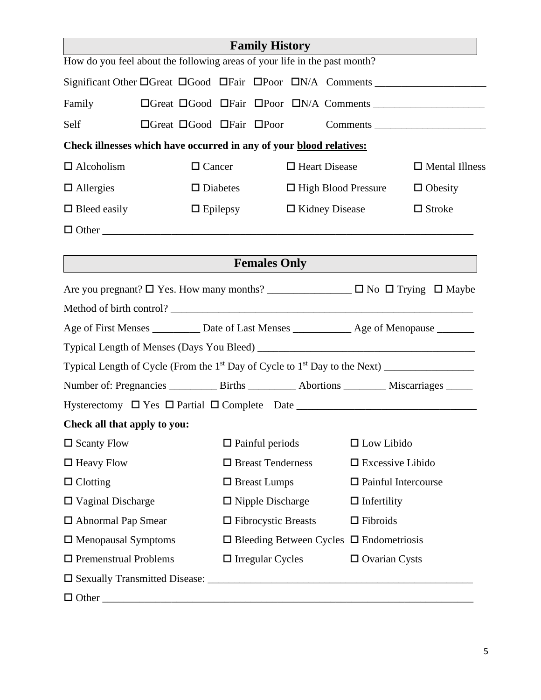|                              |                                                                                                 | <b>Family History</b>      |  |                                                     |                            |                       |
|------------------------------|-------------------------------------------------------------------------------------------------|----------------------------|--|-----------------------------------------------------|----------------------------|-----------------------|
|                              | How do you feel about the following areas of your life in the past month?                       |                            |  |                                                     |                            |                       |
|                              | Significant Other DGreat DGood DFair DPoor DN/A Comments _______________________                |                            |  |                                                     |                            |                       |
| Family                       |                                                                                                 |                            |  |                                                     |                            |                       |
| Self                         | $\Box$ Great $\Box$ Good $\Box$ Fair $\Box$ Poor                                                |                            |  |                                                     |                            | Comments              |
|                              | Check illnesses which have occurred in any of your blood relatives:                             |                            |  |                                                     |                            |                       |
| $\Box$ Alcoholism            | $\Box$ Cancer                                                                                   |                            |  | $\Box$ Heart Disease                                |                            | $\Box$ Mental Illness |
| $\Box$ Allergies             |                                                                                                 | $\square$ Diabetes         |  | $\Box$ High Blood Pressure                          |                            | $\Box$ Obesity        |
| $\Box$ Bleed easily          |                                                                                                 | $\Box$ Epilepsy            |  | $\Box$ Kidney Disease                               |                            | $\Box$ Stroke         |
|                              |                                                                                                 |                            |  |                                                     |                            |                       |
|                              |                                                                                                 |                            |  |                                                     |                            |                       |
|                              |                                                                                                 | <b>Females Only</b>        |  |                                                     |                            |                       |
|                              |                                                                                                 |                            |  |                                                     |                            |                       |
|                              | Are you pregnant? □ Yes. How many months? ______________ □ No □ Trying □ Maybe                  |                            |  |                                                     |                            |                       |
|                              |                                                                                                 |                            |  |                                                     |                            |                       |
|                              | Age of First Menses __________ Date of Last Menses ____________ Age of Menopause _______        |                            |  |                                                     |                            |                       |
|                              |                                                                                                 |                            |  |                                                     |                            |                       |
|                              |                                                                                                 |                            |  |                                                     |                            |                       |
|                              | Number of: Pregnancies ____________ Births ___________ Abortions __________ Miscarriages ______ |                            |  |                                                     |                            |                       |
|                              |                                                                                                 |                            |  |                                                     |                            |                       |
| Check all that apply to you: |                                                                                                 |                            |  |                                                     |                            |                       |
| $\square$ Scanty Flow        |                                                                                                 | $\Box$ Painful periods     |  |                                                     | $\Box$ Low Libido          |                       |
| $\Box$ Heavy Flow            |                                                                                                 | $\Box$ Breast Tenderness   |  |                                                     | $\square$ Excessive Libido |                       |
| $\Box$ Clotting              |                                                                                                 | $\Box$ Breast Lumps        |  |                                                     | $\Box$ Painful Intercourse |                       |
| $\Box$ Vaginal Discharge     |                                                                                                 | $\Box$ Nipple Discharge    |  |                                                     | $\Box$ Infertility         |                       |
| $\Box$ Abnormal Pap Smear    |                                                                                                 | $\Box$ Fibrocystic Breasts |  | $\Box$ Fibroids                                     |                            |                       |
| □ Menopausal Symptoms        |                                                                                                 |                            |  | $\Box$ Bleeding Between Cycles $\Box$ Endometriosis |                            |                       |
| $\Box$ Premenstrual Problems |                                                                                                 | $\Box$ Irregular Cycles    |  |                                                     | $\Box$ Ovarian Cysts       |                       |
|                              |                                                                                                 |                            |  |                                                     |                            |                       |
|                              |                                                                                                 |                            |  |                                                     |                            |                       |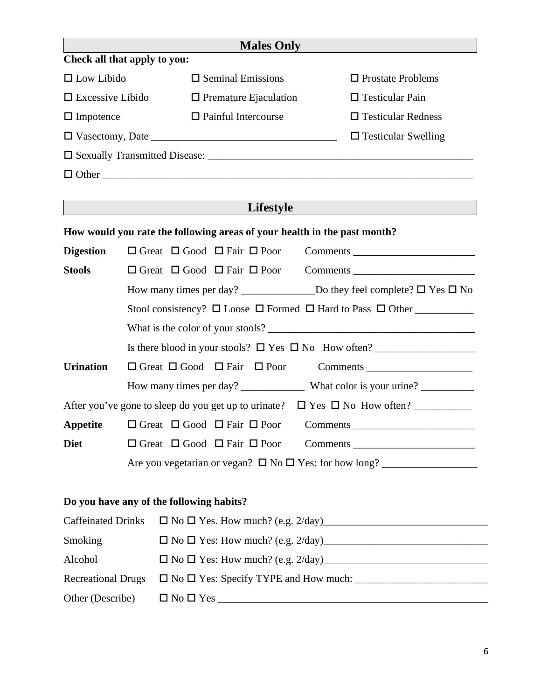|                                          |                                                                                |                                                  |                            | <b>Males Only</b>            |                                                                                      |  |
|------------------------------------------|--------------------------------------------------------------------------------|--------------------------------------------------|----------------------------|------------------------------|--------------------------------------------------------------------------------------|--|
| Check all that apply to you:             |                                                                                |                                                  |                            |                              |                                                                                      |  |
| $\Box$ Low Libido                        |                                                                                | $\Box$ Seminal Emissions                         |                            |                              | $\Box$ Prostate Problems                                                             |  |
| $\Box$ Excessive Libido                  |                                                                                |                                                  |                            | $\Box$ Premature Ejaculation | $\Box$ Testicular Pain                                                               |  |
| $\Box$ Impotence                         |                                                                                |                                                  | $\Box$ Painful Intercourse |                              | $\Box$ Testicular Redness                                                            |  |
|                                          |                                                                                |                                                  |                            |                              | $\Box$ Testicular Swelling                                                           |  |
|                                          |                                                                                |                                                  |                            |                              |                                                                                      |  |
|                                          |                                                                                |                                                  |                            |                              |                                                                                      |  |
|                                          |                                                                                |                                                  |                            |                              |                                                                                      |  |
|                                          |                                                                                |                                                  |                            | Lifestyle                    |                                                                                      |  |
|                                          |                                                                                |                                                  |                            |                              | How would you rate the following areas of your health in the past month?             |  |
| <b>Digestion</b>                         |                                                                                | $\Box$ Great $\Box$ Good $\Box$ Fair $\Box$ Poor |                            |                              | Comments                                                                             |  |
| <b>Stools</b>                            |                                                                                | $\Box$ Great $\Box$ Good $\Box$ Fair $\Box$ Poor |                            |                              | Comments                                                                             |  |
|                                          |                                                                                |                                                  |                            |                              |                                                                                      |  |
|                                          | Stool consistency? $\Box$ Loose $\Box$ Formed $\Box$ Hard to Pass $\Box$ Other |                                                  |                            |                              |                                                                                      |  |
|                                          |                                                                                |                                                  |                            |                              |                                                                                      |  |
|                                          |                                                                                |                                                  |                            |                              |                                                                                      |  |
| <b>Urination</b>                         |                                                                                | $\Box$ Great $\Box$ Good $\Box$ Fair $\Box$ Poor |                            |                              | Comments                                                                             |  |
|                                          |                                                                                |                                                  |                            |                              |                                                                                      |  |
|                                          |                                                                                |                                                  |                            |                              | After you've gone to sleep do you get up to urinate? $\Box$ Yes $\Box$ No How often? |  |
|                                          |                                                                                |                                                  |                            |                              |                                                                                      |  |
| <b>Diet</b>                              |                                                                                | $\Box$ Great $\Box$ Good $\Box$ Fair $\Box$ Poor |                            |                              |                                                                                      |  |
|                                          |                                                                                |                                                  |                            |                              |                                                                                      |  |
|                                          |                                                                                |                                                  |                            |                              |                                                                                      |  |
| Do you have any of the following habits? |                                                                                |                                                  |                            |                              |                                                                                      |  |
| <b>Caffeinated Drinks</b>                |                                                                                |                                                  |                            |                              |                                                                                      |  |
| Smoking                                  |                                                                                |                                                  |                            |                              |                                                                                      |  |
| Alcohol                                  |                                                                                |                                                  |                            |                              |                                                                                      |  |
| <b>Recreational Drugs</b>                |                                                                                |                                                  |                            |                              |                                                                                      |  |
| Other (Describe)                         |                                                                                |                                                  |                            |                              |                                                                                      |  |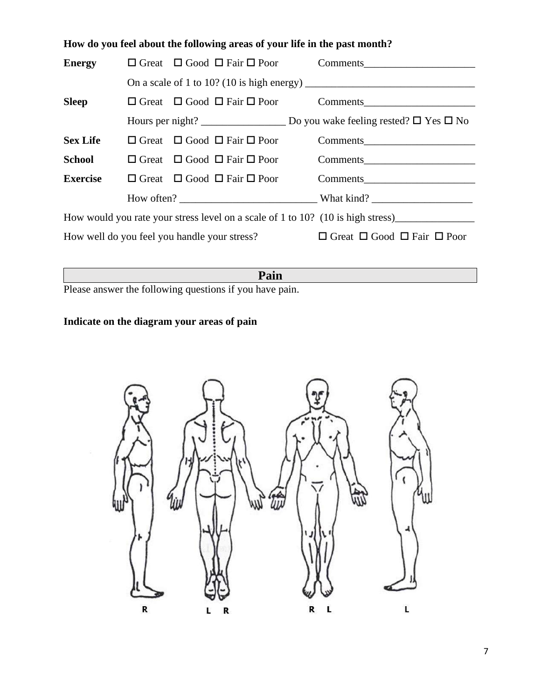|                                                                                 | How do you feel about the following areas of your life in the past month? |                                                  |  |                                                           |  |  |
|---------------------------------------------------------------------------------|---------------------------------------------------------------------------|--------------------------------------------------|--|-----------------------------------------------------------|--|--|
|                                                                                 |                                                                           |                                                  |  |                                                           |  |  |
|                                                                                 |                                                                           |                                                  |  | On a scale of 1 to 10? (10 is high energy) $\frac{1}{2}$  |  |  |
| <b>Sleep</b>                                                                    |                                                                           |                                                  |  | $\Box$ Great $\Box$ Good $\Box$ Fair $\Box$ Poor Comments |  |  |
|                                                                                 |                                                                           |                                                  |  |                                                           |  |  |
| <b>Sex Life</b>                                                                 |                                                                           | $\Box$ Great $\Box$ Good $\Box$ Fair $\Box$ Poor |  | Comments                                                  |  |  |
| School                                                                          |                                                                           | $\Box$ Great $\Box$ Good $\Box$ Fair $\Box$ Poor |  | Comments                                                  |  |  |
| <b>Exercise</b>                                                                 |                                                                           | $\Box$ Great $\Box$ Good $\Box$ Fair $\Box$ Poor |  | Comments                                                  |  |  |
|                                                                                 |                                                                           |                                                  |  |                                                           |  |  |
| How would you rate your stress level on a scale of 1 to 10? (10 is high stress) |                                                                           |                                                  |  |                                                           |  |  |
| How well do you feel you handle your stress?                                    |                                                                           |                                                  |  | $\Box$ Great $\Box$ Good $\Box$ Fair $\Box$ Poor          |  |  |
|                                                                                 |                                                                           |                                                  |  |                                                           |  |  |

**Pain**

Please answer the following questions if you have pain.

## **Indicate on the diagram your areas of pain**

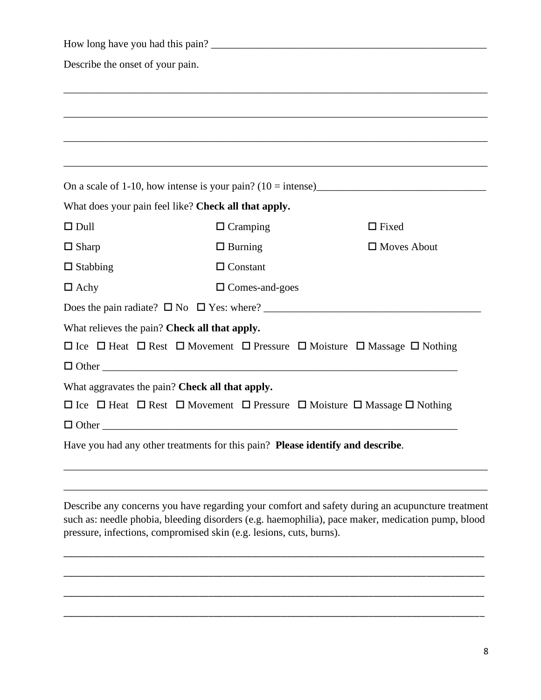| Describe the onset of your pain. |                                                                                                                  |                                                                                                   |
|----------------------------------|------------------------------------------------------------------------------------------------------------------|---------------------------------------------------------------------------------------------------|
|                                  | ,我们也不会有什么。""我们的人,我们也不会有什么?""我们的人,我们也不会有什么?""我们的人,我们也不会有什么?""我们的人,我们也不会有什么?""我们的人                                 |                                                                                                   |
|                                  |                                                                                                                  |                                                                                                   |
|                                  |                                                                                                                  |                                                                                                   |
|                                  |                                                                                                                  |                                                                                                   |
|                                  |                                                                                                                  |                                                                                                   |
|                                  | What does your pain feel like? Check all that apply.                                                             |                                                                                                   |
| $\Box$ Dull                      | $\Box$ Cramping                                                                                                  | $\Box$ Fixed                                                                                      |
| $\Box$ Sharp                     | $\Box$ Burning                                                                                                   | $\Box$ Moves About                                                                                |
| $\Box$ Stabbing                  | $\Box$ Constant                                                                                                  |                                                                                                   |
| $\Box$ Achy                      | $\square$ Comes-and-goes                                                                                         |                                                                                                   |
|                                  |                                                                                                                  |                                                                                                   |
|                                  | What relieves the pain? Check all that apply.                                                                    |                                                                                                   |
|                                  | $\Box$ Ice $\Box$ Heat $\Box$ Rest $\Box$ Movement $\Box$ Pressure $\Box$ Moisture $\Box$ Massage $\Box$ Nothing |                                                                                                   |
|                                  |                                                                                                                  |                                                                                                   |
|                                  | What aggravates the pain? Check all that apply.                                                                  |                                                                                                   |
|                                  | $\Box$ Ice $\Box$ Heat $\Box$ Rest $\Box$ Movement $\Box$ Pressure $\Box$ Moisture $\Box$ Massage $\Box$ Nothing |                                                                                                   |
| $\Box$ Other                     |                                                                                                                  |                                                                                                   |
|                                  | Have you had any other treatments for this pain? Please identify and describe.                                   |                                                                                                   |
|                                  |                                                                                                                  |                                                                                                   |
|                                  |                                                                                                                  |                                                                                                   |
|                                  |                                                                                                                  | Describe any concerns you have regarding your comfort and safety during an acupuncture treatment  |
|                                  |                                                                                                                  | such as: needle phobia, bleeding disorders (e.g. haemophilia), pace maker, medication pump, blood |

pressure, infections, compromised skin (e.g. lesions, cuts, burns).

\_\_\_\_\_\_\_\_\_\_\_\_\_\_\_\_\_\_\_\_\_\_\_\_\_\_\_\_\_\_\_\_\_\_\_\_\_\_\_\_\_\_\_\_\_\_\_\_\_\_\_\_\_\_\_\_\_\_\_\_\_\_\_\_\_\_\_\_\_\_\_\_\_\_\_\_\_\_\_\_\_\_\_\_\_\_\_

\_\_\_\_\_\_\_\_\_\_\_\_\_\_\_\_\_\_\_\_\_\_\_\_\_\_\_\_\_\_\_\_\_\_\_\_\_\_\_\_\_\_\_\_\_\_\_\_\_\_\_\_\_\_\_\_\_\_\_\_\_\_\_\_\_\_\_\_\_\_\_\_\_\_\_\_\_\_\_\_\_\_\_\_\_\_\_

\_\_\_\_\_\_\_\_\_\_\_\_\_\_\_\_\_\_\_\_\_\_\_\_\_\_\_\_\_\_\_\_\_\_\_\_\_\_\_\_\_\_\_\_\_\_\_\_\_\_\_\_\_\_\_\_\_\_\_\_\_\_\_\_\_\_\_\_\_\_\_\_\_\_\_\_\_\_\_\_\_\_\_\_\_\_\_

\_\_\_\_\_\_\_\_\_\_\_\_\_\_\_\_\_\_\_\_\_\_\_\_\_\_\_\_\_\_\_\_\_\_\_\_\_\_\_\_\_\_\_\_\_\_\_\_\_\_\_\_\_\_\_\_\_\_\_\_\_\_\_\_\_\_\_\_\_\_\_\_\_\_\_\_\_\_\_\_\_\_\_\_\_\_\_